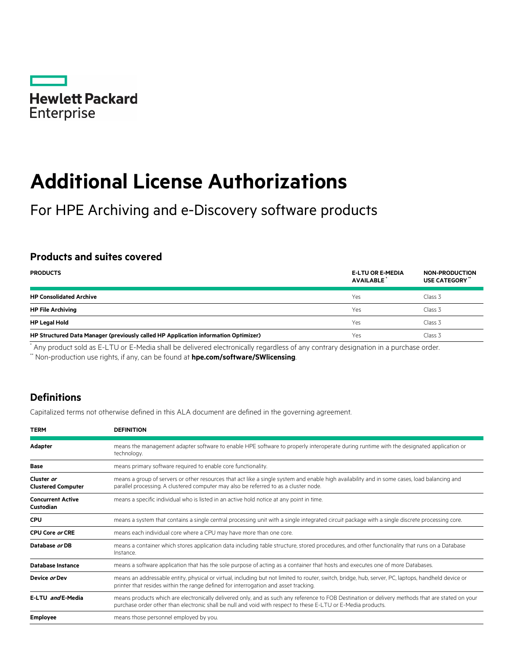

# **Additional License Authorizations**

For HPE Archiving and e-Discovery software products

## **Products and suites covered**

| <b>PRODUCTS</b>                                                                     | <b>E-LTU OR E-MEDIA</b><br><b>AVAILABLE</b> | <b>NON-PRODUCTION</b><br>USE CATEGORY" |
|-------------------------------------------------------------------------------------|---------------------------------------------|----------------------------------------|
| <b>HP Consolidated Archive</b>                                                      | Yes                                         | Class 3                                |
| <b>HP File Archiving</b>                                                            | Yes                                         | Class 3                                |
| <b>HP Legal Hold</b>                                                                | Yes                                         | Class 3                                |
| HP Structured Data Manager (previously called HP Application information Optimizer) | Yes                                         | Class 3                                |

\* Any product sold as E-LTU or E-Media shall be delivered electronically regardless of any contrary designation in a purchase order.

\*\* Non-production use rights, if any, can be found at **[hpe.com/software/SWlicensing](http://www.hpe.com/software/SWlicensing)**.

## **Definitions**

Capitalized terms not otherwise defined in this ALA document are defined in the governing agreement.

| <b>TERM</b>                             | <b>DEFINITION</b>                                                                                                                                                                                                                                                |  |
|-----------------------------------------|------------------------------------------------------------------------------------------------------------------------------------------------------------------------------------------------------------------------------------------------------------------|--|
| <b>Adapter</b>                          | means the management adapter software to enable HPE software to properly interoperate during runtime with the designated application or<br>technology.                                                                                                           |  |
| <b>Base</b>                             | means primary software required to enable core functionality.                                                                                                                                                                                                    |  |
| Cluster or<br><b>Clustered Computer</b> | means a group of servers or other resources that act like a single system and enable high availability and in some cases, load balancing and<br>parallel processing. A clustered computer may also be referred to as a cluster node.                             |  |
| <b>Concurrent Active</b><br>Custodian   | means a specific individual who is listed in an active hold notice at any point in time.                                                                                                                                                                         |  |
| <b>CPU</b>                              | means a system that contains a single central processing unit with a single integrated circuit package with a single discrete processing core.                                                                                                                   |  |
| <b>CPU Core or CRE</b>                  | means each individual core where a CPU may have more than one core.                                                                                                                                                                                              |  |
| Database or DB                          | means a container which stores application data including table structure, stored procedures, and other functionality that runs on a Database<br>Instance.                                                                                                       |  |
| <b>Database Instance</b>                | means a software application that has the sole purpose of acting as a container that hosts and executes one of more Databases.                                                                                                                                   |  |
| Device or Dev                           | means an addressable entity, physical or virtual, including but not limited to router, switch, bridge, hub, server, PC, laptops, handheld device or<br>printer that resides within the range defined for interrogation and asset tracking.                       |  |
| E-LTU and E-Media                       | means products which are electronically delivered only, and as such any reference to FOB Destination or delivery methods that are stated on your<br>purchase order other than electronic shall be null and void with respect to these E-LTU or E-Media products. |  |
| <b>Employee</b>                         | means those personnel employed by you.                                                                                                                                                                                                                           |  |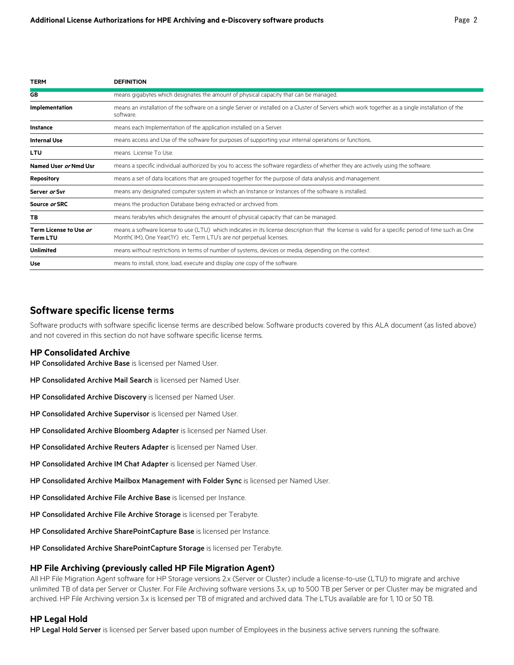| TERM                                             | <b>DEFINITION</b>                                                                                                                                                                                                           |
|--------------------------------------------------|-----------------------------------------------------------------------------------------------------------------------------------------------------------------------------------------------------------------------------|
| GB                                               | means gigabytes which designates the amount of physical capacity that can be managed.                                                                                                                                       |
| Implementation                                   | means an installation of the software on a single Server or installed on a Cluster of Servers which work together as a single installation of the<br>software.                                                              |
| Instance                                         | means each Implementation of the application installed on a Server.                                                                                                                                                         |
| <b>Internal Use</b>                              | means access and Use of the software for purposes of supporting your internal operations or functions.                                                                                                                      |
| <b>LTU</b>                                       | means License To Use.                                                                                                                                                                                                       |
| Named User or Nmd Usr                            | means a specific individual authorized by you to access the software regardless of whether they are actively using the software.                                                                                            |
| <b>Repository</b>                                | means a set of data locations that are grouped together for the purpose of data analysis and management.                                                                                                                    |
| Server or Svr                                    | means any designated computer system in which an Instance or Instances of the software is installed.                                                                                                                        |
| Source or SRC                                    | means the production Database being extracted or archived from.                                                                                                                                                             |
| ТB                                               | means terabytes which designates the amount of physical capacity that can be managed.                                                                                                                                       |
| Term License to Use <i>or</i><br><b>Term LTU</b> | means a software license to use (LTU) which indicates in its license description that the license is valid for a specific period of time such as One<br>Month(IM), One Year(1Y) etc. Term LTU's are not perpetual licenses. |
| <b>Unlimited</b>                                 | means without restrictions in terms of number of systems, devices or media, depending on the context.                                                                                                                       |
| Use                                              | means to install, store, load, execute and display one copy of the software.                                                                                                                                                |

#### **Software specific license terms**

Software products with software specific license terms are described below. Software products covered by this ALA document (as listed above) and not covered in this section do not have software specific license terms.

#### **HP Consolidated Archive**

HP Consolidated Archive Base is licensed per Named User.

- HP Consolidated Archive Mail Search is licensed per Named User.
- HP Consolidated Archive Discovery is licensed per Named User.
- HP Consolidated Archive Supervisor is licensed per Named User.
- HP Consolidated Archive Bloomberg Adapter is licensed per Named User.
- HP Consolidated Archive Reuters Adapter is licensed per Named User.
- HP Consolidated Archive IM Chat Adapter is licensed per Named User.
- HP Consolidated Archive Mailbox Management with Folder Sync is licensed per Named User.
- HP Consolidated Archive File Archive Base is licensed per Instance.
- HP Consolidated Archive File Archive Storage is licensed per Terabyte.
- HP Consolidated Archive SharePointCapture Base is licensed per Instance.
- HP Consolidated Archive SharePointCapture Storage is licensed per Terabyte.

#### **HP File Archiving (previously called HP File Migration Agent)**

All HP File Migration Agent software for HP Storage versions 2.x (Server or Cluster) include a license-to-use (LTU) to migrate and archive unlimited TB of data per Server or Cluster. For File Archiving software versions 3.x, up to 500 TB per Server or per Cluster may be migrated and archived. HP File Archiving version 3.x is licensed per TB of migrated and archived data. The LTUs available are for 1, 10 or 50 TB.

#### **HP Legal Hold**

HP Legal Hold Server is licensed per Server based upon number of Employees in the business active servers running the software.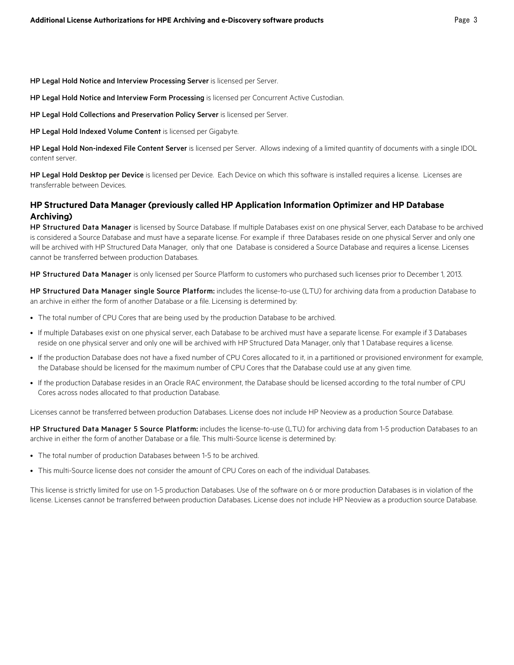HP Legal Hold Notice and Interview Processing Server is licensed per Server.

HP Legal Hold Notice and Interview Form Processing is licensed per Concurrent Active Custodian.

HP Legal Hold Collections and Preservation Policy Server is licensed per Server.

HP Legal Hold Indexed Volume Content is licensed per Gigabyte.

HP Legal Hold Non-indexed File Content Server is licensed per Server. Allows indexing of a limited quantity of documents with a single IDOL content server.

HP Legal Hold Desktop per Device is licensed per Device. Each Device on which this software is installed requires a license. Licenses are transferrable between Devices.

#### **HP Structured Data Manager (previously called HP Application Information Optimizer and HP Database Archiving)**

HP Structured Data Manager is licensed by Source Database. If multiple Databases exist on one physical Server, each Database to be archived is considered a Source Database and must have a separate license. For example if three Databases reside on one physical Server and only one will be archived with HP Structured Data Manager, only that one Database is considered a Source Database and requires a license. Licenses cannot be transferred between production Databases.

HP Structured Data Manager is only licensed per Source Platform to customers who purchased such licenses prior to December 1, 2013.

HP Structured Data Manager single Source Platform: includes the license-to-use (LTU) for archiving data from a production Database to an archive in either the form of another Database or a file. Licensing is determined by:

- The total number of CPU Cores that are being used by the production Database to be archived.
- If multiple Databases exist on one physical server, each Database to be archived must have a separate license. For example if 3 Databases reside on one physical server and only one will be archived with HP Structured Data Manager, only that 1 Database requires a license.
- If the production Database does not have a fixed number of CPU Cores allocated to it, in a partitioned or provisioned environment for example, the Database should be licensed for the maximum number of CPU Cores that the Database could use at any given time.
- If the production Database resides in an Oracle RAC environment, the Database should be licensed according to the total number of CPU Cores across nodes allocated to that production Database.

Licenses cannot be transferred between production Databases. License does not include HP Neoview as a production Source Database.

HP Structured Data Manager 5 Source Platform: includes the license-to-use (LTU) for archiving data from 1-5 production Databases to an archive in either the form of another Database or a file. This multi-Source license is determined by:

- The total number of production Databases between 1-5 to be archived.
- This multi-Source license does not consider the amount of CPU Cores on each of the individual Databases.

This license is strictly limited for use on 1-5 production Databases. Use of the software on 6 or more production Databases is in violation of the license. Licenses cannot be transferred between production Databases. License does not include HP Neoview as a production source Database.